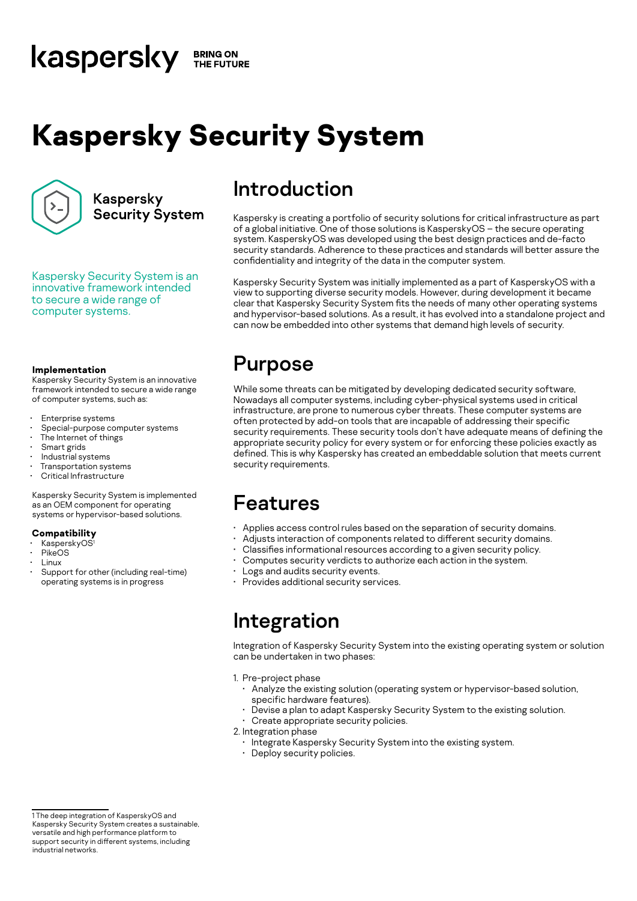#### kaspersky **BRING ON** THE FUTURE

# **Kaspersky Security System**



Kaspersky **Security System** 

Kaspersky Security System is an innovative framework intended to secure a wide range of computer systems.

#### **Implementation**

Kaspersky Security System is an innovative framework intended to secure a wide range of computer systems, such as:

- Enterprise systems
- Special-purpose computer systems
- The Internet of things
- Smart grids
- Industrial systems
- Transportation systems
- Critical Infrastructure

Kaspersky Security System is implemented as an OEM component for operating systems or hypervisor-based solutions.

#### **Compatibility**

- KasperskyOS<sup>1</sup>
- PikeOS
- Linux
- Support for other (including real-time) operating systems is in progress

# Introduction

Kaspersky is creating a portfolio of security solutions for critical infrastructure as part of a global initiative. One of those solutions is KasperskyOS – the secure operating system. KasperskyOS was developed using the best design practices and de-facto security standards. Adherence to these practices and standards will better assure the confidentiality and integrity of the data in the computer system.

Kaspersky Security System was initially implemented as a part of KasperskyOS with a view to supporting diverse security models. However, during development it became clear that Kaspersky Security System fits the needs of many other operating systems and hypervisor-based solutions. As a result, it has evolved into a standalone project and can now be embedded into other systems that demand high levels of security.

# Purpose

While some threats can be mitigated by developing dedicated security software, Nowadays all computer systems, including cyber-physical systems used in critical infrastructure, are prone to numerous cyber threats. These computer systems are often protected by add-on tools that are incapable of addressing their specific security requirements. These security tools don't have adequate means of defining the appropriate security policy for every system or for enforcing these policies exactly as defined. This is why Kaspersky has created an embeddable solution that meets current security requirements.

# Features

- Applies access control rules based on the separation of security domains.
- Adjusts interaction of components related to different security domains.
- Classifies informational resources according to a given security policy.
- Computes security verdicts to authorize each action in the system.
- Logs and audits security events.
- Provides additional security services.

# Integration

Integration of Kaspersky Security System into the existing operating system or solution can be undertaken in two phases:

1. Pre-project phase

- Analyze the existing solution (operating system or hypervisor-based solution, specific hardware features).
	- Devise a plan to adapt Kaspersky Security System to the existing solution.
- Create appropriate security policies.
- 2. Integration phase
	- Integrate Kaspersky Security System into the existing system.
	- Deploy security policies.

<sup>1</sup> The deep integration of KasperskyOS and Kaspersky Security System creates a sustainable, versatile and high performance platform to support security in different systems, including industrial networks.